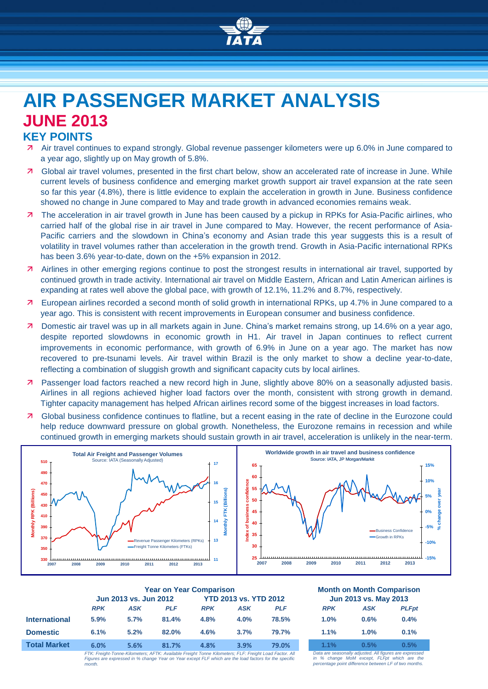

# **AIR PASSENGER MARKET ANALYSIS JUNE 2013**

# **KEY POINTS**

- Air travel continues to expand strongly. Global revenue passenger kilometers were up 6.0% in June compared to a year ago, slightly up on May growth of 5.8%.
- Global air travel volumes, presented in the first chart below, show an accelerated rate of increase in June. While current levels of business confidence and emerging market growth support air travel expansion at the rate seen so far this year (4.8%), there is little evidence to explain the acceleration in growth in June. Business confidence showed no change in June compared to May and trade growth in advanced economies remains weak.
- The acceleration in air travel growth in June has been caused by a pickup in RPKs for Asia-Pacific airlines, who carried half of the global rise in air travel in June compared to May. However, the recent performance of Asia-Pacific carriers and the slowdown in China's economy and Asian trade this year suggests this is a result of volatility in travel volumes rather than acceleration in the growth trend. Growth in Asia-Pacific international RPKs has been 3.6% year-to-date, down on the  $+5%$  expansion in 2012.
- **A** Airlines in other emerging regions continue to post the strongest results in international air travel, supported by continued growth in trade activity. International air travel on Middle Eastern, African and Latin American airlines is expanding at rates well above the global pace, with growth of 12.1%, 11.2% and 8.7%, respectively.
- European airlines recorded a second month of solid growth in international RPKs, up 4.7% in June compared to a year ago. This is consistent with recent improvements in European consumer and business confidence.
- Domestic air travel was up in all markets again in June. China's market remains strong, up 14.6% on a year ago, despite reported slowdowns in economic growth in H1. Air travel in Japan continues to reflect current improvements in economic performance, with growth of 6.9% in June on a year ago. The market has now recovered to pre-tsunami levels. Air travel within Brazil is the only market to show a decline year-to-date, reflecting a combination of sluggish growth and significant capacity cuts by local airlines.
- Passenger load factors reached a new record high in June, slightly above 80% on a seasonally adjusted basis. Airlines in all regions achieved higher load factors over the month, consistent with strong growth in demand. Tighter capacity management has helped African airlines record some of the biggest increases in load factors.
- Global business confidence continues to flatline, but a recent easing in the rate of decline in the Eurozone could help reduce downward pressure on global growth. Nonetheless, the Eurozone remains in recession and while continued growth in emerging markets should sustain growth in air travel, acceleration is unlikely in the near-term.



|                      | <b>Year on Year Comparison</b>                                                                         |      |                              |            |      |                       | <b>Month on Month Comparisor</b> |                                                       |             |
|----------------------|--------------------------------------------------------------------------------------------------------|------|------------------------------|------------|------|-----------------------|----------------------------------|-------------------------------------------------------|-------------|
|                      | Jun 2013 vs. Jun 2012                                                                                  |      | <b>YTD 2013 vs. YTD 2012</b> |            |      | Jun 2013 vs. May 2013 |                                  |                                                       |             |
|                      | <b>RPK</b>                                                                                             | ASK  | <b>PLF</b>                   | <b>RPK</b> | ASK  | <b>PLF</b>            | <b>RPK</b>                       | ASK                                                   | <b>PLFp</b> |
| <b>International</b> | 5.9%                                                                                                   | 5.7% | 81.4%                        | 4.8%       | 4.0% | 78.5%                 | 1.0%                             | 0.6%                                                  | 0.4%        |
| <b>Domestic</b>      | 6.1%                                                                                                   | 5.2% | 82.0%                        | 4.6%       | 3.7% | 79.7%                 | 1.1%                             | 1.0%                                                  | 0.1%        |
| <b>Total Market</b>  | 6.0%                                                                                                   | 5.6% | 81.7%                        | 4.8%       | 3.9% | 79.0%                 | 1.1%                             | 0.5%                                                  | 0.5%        |
|                      | FTK: Freight-Tonne-Kilometers: AFTK: Available Freight Tonne Kilometers: FLF: Freight Load Factor, All |      |                              |            |      |                       |                                  | Data are seasonally adjusted. All figures are expres. |             |

*FTK: Freight-Tonne-Kilometers; AFTK: Available Freight Tonne Kilometers; FLF: Freight Load Factor. All Figures are expressed in % change Year on Year except FLF which are the load factors for the specific month.*

# **Year on Year Comparison Month on Month Comparison**

| <b>RPK</b><br><b>PLFpt</b><br><b>ASK</b>                                      |  |
|-------------------------------------------------------------------------------|--|
|                                                                               |  |
| 0.4%<br>1.0%<br>0.6%                                                          |  |
| 0.1%<br>1.1%<br>1.0%                                                          |  |
| 1.1%<br>0.5%<br>0.5%<br>Data are conconclused used All figures are overcoased |  |

*Data are seasonally adjusted. All figures are expressed in % change MoM except, FLFpt which are the percentage point difference between LF of two months.*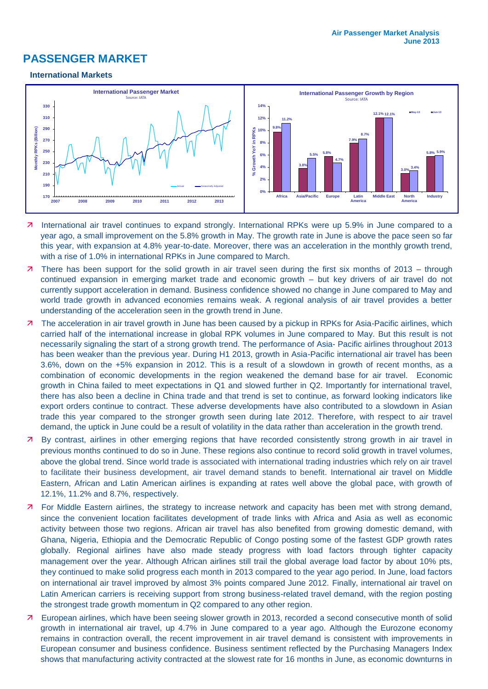# **PASSENGER MARKET**

#### **International Markets**



- 7 International air travel continues to expand strongly. International RPKs were up 5.9% in June compared to a year ago, a small improvement on the 5.8% growth in May. The growth rate in June is above the pace seen so far this year, with expansion at 4.8% year-to-date. Moreover, there was an acceleration in the monthly growth trend, with a rise of 1.0% in international RPKs in June compared to March.
- 7 There has been support for the solid growth in air travel seen during the first six months of 2013 through continued expansion in emerging market trade and economic growth – but key drivers of air travel do not currently support acceleration in demand. Business confidence showed no change in June compared to May and world trade growth in advanced economies remains weak. A regional analysis of air travel provides a better understanding of the acceleration seen in the growth trend in June.
- 7 The acceleration in air travel growth in June has been caused by a pickup in RPKs for Asia-Pacific airlines, which carried half of the international increase in global RPK volumes in June compared to May. But this result is not necessarily signaling the start of a strong growth trend. The performance of Asia- Pacific airlines throughout 2013 has been weaker than the previous year. During H1 2013, growth in Asia-Pacific international air travel has been 3.6%, down on the +5% expansion in 2012. This is a result of a slowdown in growth of recent months, as a combination of economic developments in the region weakened the demand base for air travel. Economic growth in China failed to meet expectations in Q1 and slowed further in Q2. Importantly for international travel, there has also been a decline in China trade and that trend is set to continue, as forward looking indicators like export orders continue to contract. These adverse developments have also contributed to a slowdown in Asian trade this year compared to the stronger growth seen during late 2012. Therefore, with respect to air travel demand, the uptick in June could be a result of volatility in the data rather than acceleration in the growth trend.
- **7** By contrast, airlines in other emerging regions that have recorded consistently strong growth in air travel in previous months continued to do so in June. These regions also continue to record solid growth in travel volumes, above the global trend. Since world trade is associated with international trading industries which rely on air travel to facilitate their business development, air travel demand stands to benefit. International air travel on Middle Eastern, African and Latin American airlines is expanding at rates well above the global pace, with growth of 12.1%, 11.2% and 8.7%, respectively.
- **7** For Middle Eastern airlines, the strategy to increase network and capacity has been met with strong demand, since the convenient location facilitates development of trade links with Africa and Asia as well as economic activity between those two regions. African air travel has also benefited from growing domestic demand, with Ghana, Nigeria, Ethiopia and the Democratic Republic of Congo posting some of the fastest GDP growth rates globally. Regional airlines have also made steady progress with load factors through tighter capacity management over the year. Although African airlines still trail the global average load factor by about 10% pts, they continued to make solid progress each month in 2013 compared to the year ago period. In June, load factors on international air travel improved by almost 3% points compared June 2012. Finally, international air travel on Latin American carriers is receiving support from strong business-related travel demand, with the region posting the strongest trade growth momentum in Q2 compared to any other region.
- **7** European airlines, which have been seeing slower growth in 2013, recorded a second consecutive month of solid growth in international air travel, up 4.7% in June compared to a year ago. Although the Eurozone economy remains in contraction overall, the recent improvement in air travel demand is consistent with improvements in European consumer and business confidence. Business sentiment reflected by the Purchasing Managers Index shows that manufacturing activity contracted at the slowest rate for 16 months in June, as economic downturns in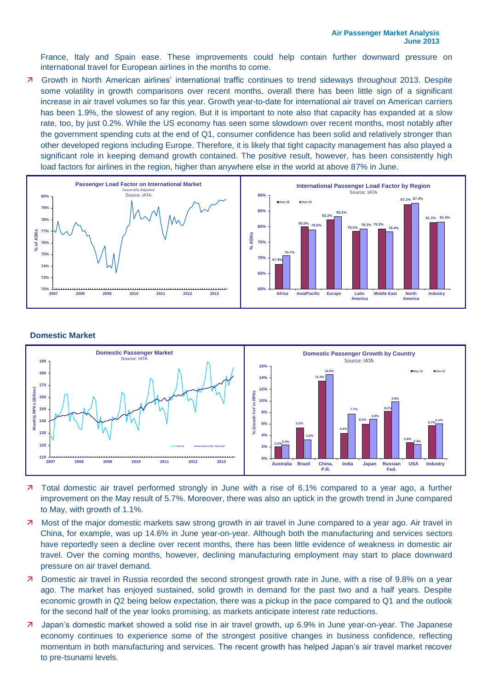France, Italy and Spain ease. These improvements could help contain further downward pressure on international travel for European airlines in the months to come.

 Growth in North American airlines' international traffic continues to trend sideways throughout 2013. Despite some volatility in growth comparisons over recent months, overall there has been little sign of a significant increase in air travel volumes so far this year. Growth year-to-date for international air travel on American carriers has been 1.9%, the slowest of any region. But it is important to note also that capacity has expanded at a slow rate, too, by just 0.2%. While the US economy has seen some slowdown over recent months, most notably after the government spending cuts at the end of Q1, consumer confidence has been solid and relatively stronger than other developed regions including Europe. Therefore, it is likely that tight capacity management has also played a significant role in keeping demand growth contained. The positive result, however, has been consistently high load factors for airlines in the region, higher than anywhere else in the world at above 87% in June.



#### **Domestic Market**



- 7 Total domestic air travel performed strongly in June with a rise of 6.1% compared to a year ago, a further improvement on the May result of 5.7%. Moreover, there was also an uptick in the growth trend in June compared to May, with growth of 1.1%.
- 7 Most of the major domestic markets saw strong growth in air travel in June compared to a year ago. Air travel in China, for example, was up 14.6% in June year-on-year. Although both the manufacturing and services sectors have reportedly seen a decline over recent months, there has been little evidence of weakness in domestic air travel. Over the coming months, however, declining manufacturing employment may start to place downward pressure on air travel demand.
- **7** Domestic air travel in Russia recorded the second strongest growth rate in June, with a rise of 9.8% on a year ago. The market has enjoyed sustained, solid growth in demand for the past two and a half years. Despite economic growth in Q2 being below expectation, there was a pickup in the pace compared to Q1 and the outlook for the second half of the year looks promising, as markets anticipate interest rate reductions.
- Japan's domestic market showed a solid rise in air travel growth, up 6.9% in June year-on-year. The Japanese economy continues to experience some of the strongest positive changes in business confidence, reflecting momentum in both manufacturing and services. The recent growth has helped Japan's air travel market recover to pre-tsunami levels.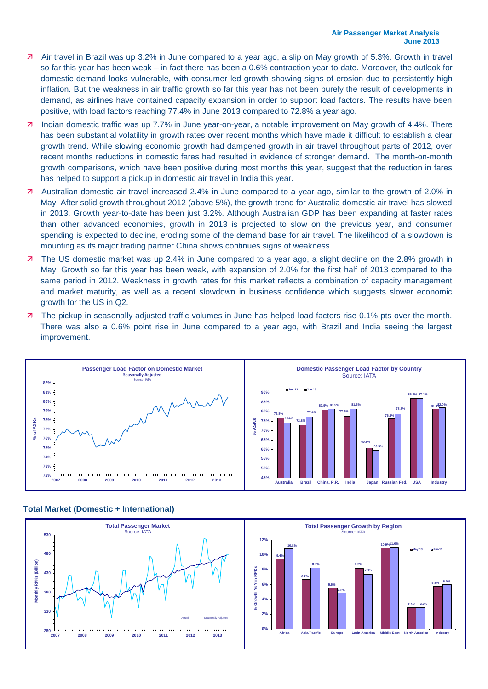- Air travel in Brazil was up 3.2% in June compared to a year ago, a slip on May growth of 5.3%. Growth in travel so far this year has been weak – in fact there has been a 0.6% contraction year-to-date. Moreover, the outlook for domestic demand looks vulnerable, with consumer-led growth showing signs of erosion due to persistently high inflation. But the weakness in air traffic growth so far this year has not been purely the result of developments in demand, as airlines have contained capacity expansion in order to support load factors. The results have been positive, with load factors reaching 77.4% in June 2013 compared to 72.8% a year ago.
- Indian domestic traffic was up 7.7% in June year-on-year, a notable improvement on May growth of 4.4%. There has been substantial volatility in growth rates over recent months which have made it difficult to establish a clear growth trend. While slowing economic growth had dampened growth in air travel throughout parts of 2012, over recent months reductions in domestic fares had resulted in evidence of stronger demand. The month-on-month growth comparisons, which have been positive during most months this year, suggest that the reduction in fares has helped to support a pickup in domestic air travel in India this year.
- Australian domestic air travel increased 2.4% in June compared to a year ago, similar to the growth of 2.0% in May. After solid growth throughout 2012 (above 5%), the growth trend for Australia domestic air travel has slowed in 2013. Growth year-to-date has been just 3.2%. Although Australian GDP has been expanding at faster rates than other advanced economies, growth in 2013 is projected to slow on the previous year, and consumer spending is expected to decline, eroding some of the demand base for air travel. The likelihood of a slowdown is mounting as its major trading partner China shows continues signs of weakness.
- **7** The US domestic market was up 2.4% in June compared to a year ago, a slight decline on the 2.8% growth in May. Growth so far this year has been weak, with expansion of 2.0% for the first half of 2013 compared to the same period in 2012. Weakness in growth rates for this market reflects a combination of capacity management and market maturity, as well as a recent slowdown in business confidence which suggests slower economic growth for the US in Q2.
- 7 The pickup in seasonally adjusted traffic volumes in June has helped load factors rise 0.1% pts over the month. There was also a 0.6% point rise in June compared to a year ago, with Brazil and India seeing the largest improvement.





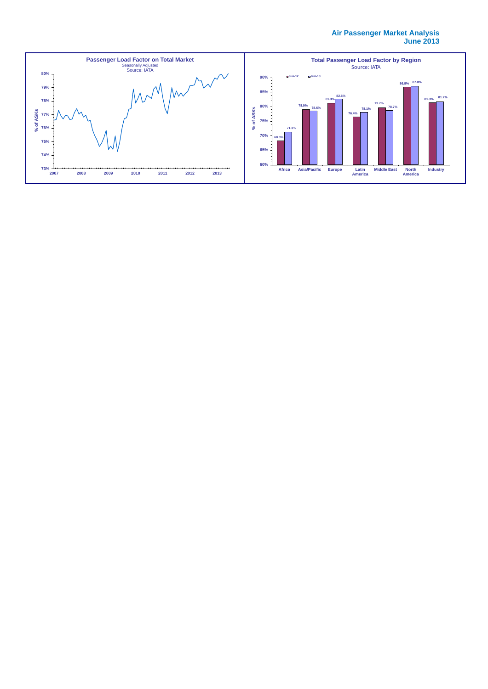#### **Air Passenger Market Analysis June 2013**

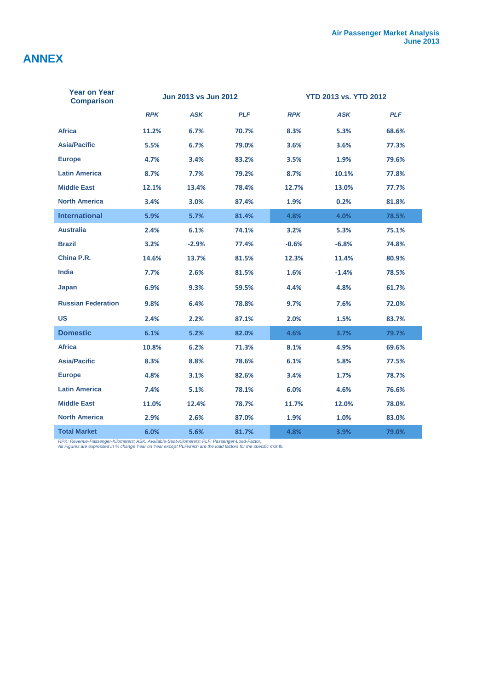# **ANNEX**

| <b>Year on Year</b><br><b>Comparison</b> | <b>Jun 2013 vs Jun 2012</b> |            | <b>YTD 2013 vs. YTD 2012</b> |            |            |            |
|------------------------------------------|-----------------------------|------------|------------------------------|------------|------------|------------|
|                                          | <b>RPK</b>                  | <b>ASK</b> | <b>PLF</b>                   | <b>RPK</b> | <b>ASK</b> | <b>PLF</b> |
| <b>Africa</b>                            | 11.2%                       | 6.7%       | 70.7%                        | 8.3%       | 5.3%       | 68.6%      |
| <b>Asia/Pacific</b>                      | 5.5%                        | 6.7%       | 79.0%                        | 3.6%       | 3.6%       | 77.3%      |
| <b>Europe</b>                            | 4.7%                        | 3.4%       | 83.2%                        | 3.5%       | 1.9%       | 79.6%      |
| <b>Latin America</b>                     | 8.7%                        | 7.7%       | 79.2%                        | 8.7%       | 10.1%      | 77.8%      |
| <b>Middle East</b>                       | 12.1%                       | 13.4%      | 78.4%                        | 12.7%      | 13.0%      | 77.7%      |
| <b>North America</b>                     | 3.4%                        | 3.0%       | 87.4%                        | 1.9%       | 0.2%       | 81.8%      |
| <b>International</b>                     | 5.9%                        | 5.7%       | 81.4%                        | 4.8%       | 4.0%       | 78.5%      |
| <b>Australia</b>                         | 2.4%                        | 6.1%       | 74.1%                        | 3.2%       | 5.3%       | 75.1%      |
| <b>Brazil</b>                            | 3.2%                        | $-2.9%$    | 77.4%                        | $-0.6%$    | $-6.8%$    | 74.8%      |
| China P.R.                               | 14.6%                       | 13.7%      | 81.5%                        | 12.3%      | 11.4%      | 80.9%      |
| India                                    | 7.7%                        | 2.6%       | 81.5%                        | 1.6%       | $-1.4%$    | 78.5%      |
| Japan                                    | 6.9%                        | 9.3%       | 59.5%                        | 4.4%       | 4.8%       | 61.7%      |
| <b>Russian Federation</b>                | 9.8%                        | 6.4%       | 78.8%                        | 9.7%       | 7.6%       | 72.0%      |
| US                                       | 2.4%                        | 2.2%       | 87.1%                        | 2.0%       | 1.5%       | 83.7%      |
| <b>Domestic</b>                          | 6.1%                        | 5.2%       | 82.0%                        | 4.6%       | 3.7%       | 79.7%      |
| <b>Africa</b>                            | 10.8%                       | 6.2%       | 71.3%                        | 8.1%       | 4.9%       | 69.6%      |
| <b>Asia/Pacific</b>                      | 8.3%                        | 8.8%       | 78.6%                        | 6.1%       | 5.8%       | 77.5%      |
| <b>Europe</b>                            | 4.8%                        | 3.1%       | 82.6%                        | 3.4%       | 1.7%       | 78.7%      |
| <b>Latin America</b>                     | 7.4%                        | 5.1%       | 78.1%                        | 6.0%       | 4.6%       | 76.6%      |
| <b>Middle East</b>                       | 11.0%                       | 12.4%      | 78.7%                        | 11.7%      | 12.0%      | 78.0%      |
| <b>North America</b>                     | 2.9%                        | 2.6%       | 87.0%                        | 1.9%       | 1.0%       | 83.0%      |
| <b>Total Market</b>                      | 6.0%                        | 5.6%       | 81.7%                        | 4.8%       | 3.9%       | 79.0%      |

*RPK: Revenue-Passenger-Kilometers; ASK: Available-Seat-Kilometers; PLF: Passenger-Load-Factor; All Figures are expressed in % change Year on Year except PLFwhich are the load factors for the specific month.*